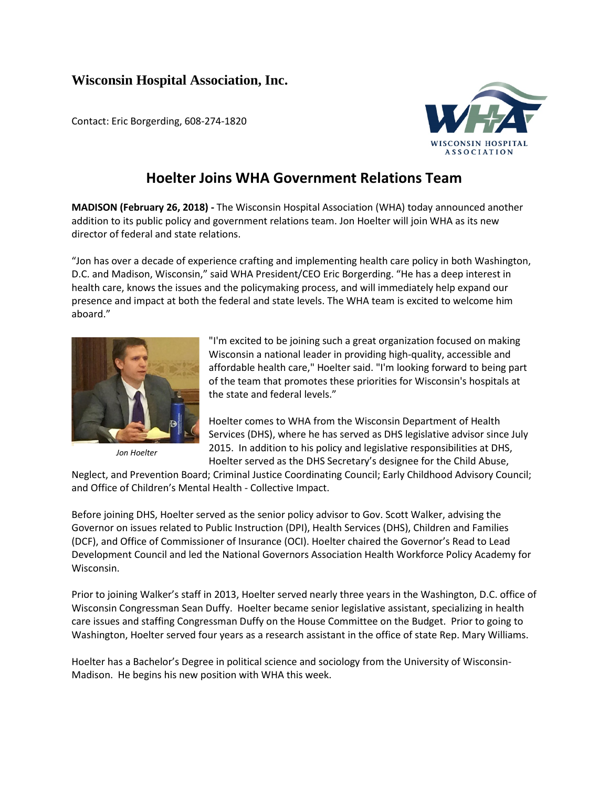## **Wisconsin Hospital Association, Inc.**

Contact: Eric Borgerding, 608-274-1820



## **Hoelter Joins WHA Government Relations Team**

**MADISON (February 26, 2018) -** The Wisconsin Hospital Association (WHA) today announced another addition to its public policy and government relations team. Jon Hoelter will join WHA as its new director of federal and state relations.

"Jon has over a decade of experience crafting and implementing health care policy in both Washington, D.C. and Madison, Wisconsin," said WHA President/CEO Eric Borgerding. "He has a deep interest in health care, knows the issues and the policymaking process, and will immediately help expand our presence and impact at both the federal and state levels. The WHA team is excited to welcome him aboard."



*Jon Hoelter*

"I'm excited to be joining such a great organization focused on making Wisconsin a national leader in providing high-quality, accessible and affordable health care," Hoelter said. "I'm looking forward to being part of the team that promotes these priorities for Wisconsin's hospitals at the state and federal levels."

Hoelter comes to WHA from the Wisconsin Department of Health Services (DHS), where he has served as DHS legislative advisor since July 2015. In addition to his policy and legislative responsibilities at DHS, Hoelter served as the DHS Secretary's designee for the Child Abuse,

Neglect, and Prevention Board; Criminal Justice Coordinating Council; Early Childhood Advisory Council; and Office of Children's Mental Health - Collective Impact.

Before joining DHS, Hoelter served as the senior policy advisor to Gov. Scott Walker, advising the Governor on issues related to Public Instruction (DPI), Health Services (DHS), Children and Families (DCF), and Office of Commissioner of Insurance (OCI). Hoelter chaired the Governor's Read to Lead Development Council and led the National Governors Association Health Workforce Policy Academy for Wisconsin.

Prior to joining Walker's staff in 2013, Hoelter served nearly three years in the Washington, D.C. office of Wisconsin Congressman Sean Duffy. Hoelter became senior legislative assistant, specializing in health care issues and staffing Congressman Duffy on the House Committee on the Budget. Prior to going to Washington, Hoelter served four years as a research assistant in the office of state Rep. Mary Williams.

Hoelter has a Bachelor's Degree in political science and sociology from the University of Wisconsin-Madison. He begins his new position with WHA this week.